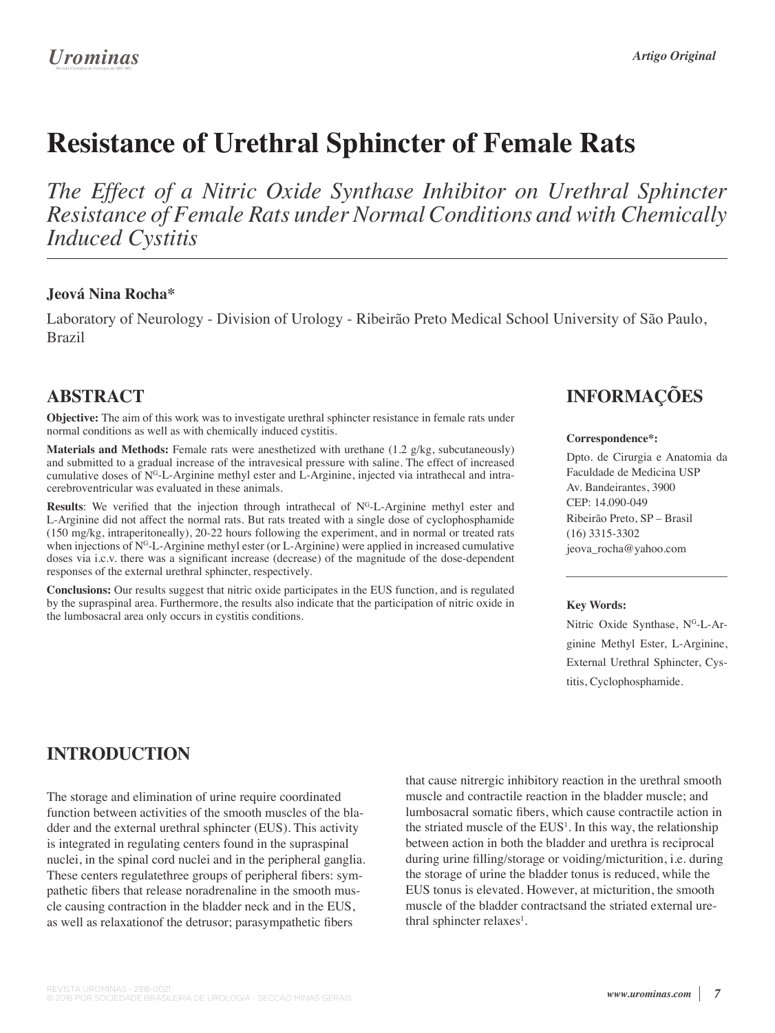# **Resistance of Urethral Sphincter of Female Rats**

*The Effect of a Nitric Oxide Synthase Inhibitor on Urethral Sphincter Resistance of Female Rats under Normal Conditions and with Chemically Induced Cystitis* 

### **Jeová Nina Rocha\***

Laboratory of Neurology - Division of Urology - Ribeirão Preto Medical School University of São Paulo, Brazil

# **ABSTRACT**

**Objective:** The aim of this work was to investigate urethral sphincter resistance in female rats under normal conditions as well as with chemically induced cystitis.

**Materials and Methods:** Female rats were anesthetized with urethane (1.2 g/kg, subcutaneously) and submitted to a gradual increase of the intravesical pressure with saline. The effect of increased cumulative doses of NG-L-Arginine methyl ester and L-Arginine, injected via intrathecal and intracerebroventricular was evaluated in these animals.

Results: We verified that the injection through intrathecal of N<sup>G</sup>-L-Arginine methyl ester and L-Arginine did not affect the normal rats. But rats treated with a single dose of cyclophosphamide (150 mg/kg, intraperitoneally), 20-22 hours following the experiment, and in normal or treated rats when injections of  $N<sup>G</sup>-L-Arginine$  methyl ester (or L-Arginine) were applied in increased cumulative doses via i.c.v. there was a significant increase (decrease) of the magnitude of the dose-dependent responses of the external urethral sphincter, respectively.

**Conclusions:** Our results suggest that nitric oxide participates in the EUS function, and is regulated by the supraspinal area. Furthermore, the results also indicate that the participation of nitric oxide in the lumbosacral area only occurs in cystitis conditions.

# **INFORMAÇÕES**

#### **Correspondence\*:**

Dpto. de Cirurgia e Anatomia da Faculdade de Medicina USP Av. Bandeirantes, 3900 CEP: 14.090-049 Ribeirão Preto, SP – Brasil (16) 3315-3302 jeova\_rocha@yahoo.com

#### **Key Words:**

Nitric Oxide Synthase, N<sup>G</sup>-L-Arginine Methyl Ester, L-Arginine, External Urethral Sphincter, Cystitis, Cyclophosphamide.

# **INTRODUCTION**

The storage and elimination of urine require coordinated function between activities of the smooth muscles of the bladder and the external urethral sphincter (EUS). This activity is integrated in regulating centers found in the supraspinal nuclei, in the spinal cord nuclei and in the peripheral ganglia. These centers regulatethree groups of peripheral fibers: sympathetic fibers that release noradrenaline in the smooth muscle causing contraction in the bladder neck and in the EUS, as well as relaxationof the detrusor; parasympathetic fibers

that cause nitrergic inhibitory reaction in the urethral smooth muscle and contractile reaction in the bladder muscle; and lumbosacral somatic fibers, which cause contractile action in the striated muscle of the  $EUS<sup>1</sup>$ . In this way, the relationship between action in both the bladder and urethra is reciprocal during urine filling/storage or voiding/micturition, i.e. during the storage of urine the bladder tonus is reduced, while the EUS tonus is elevated. However, at micturition, the smooth muscle of the bladder contractsand the striated external urethral sphincter relaxes<sup>1</sup>.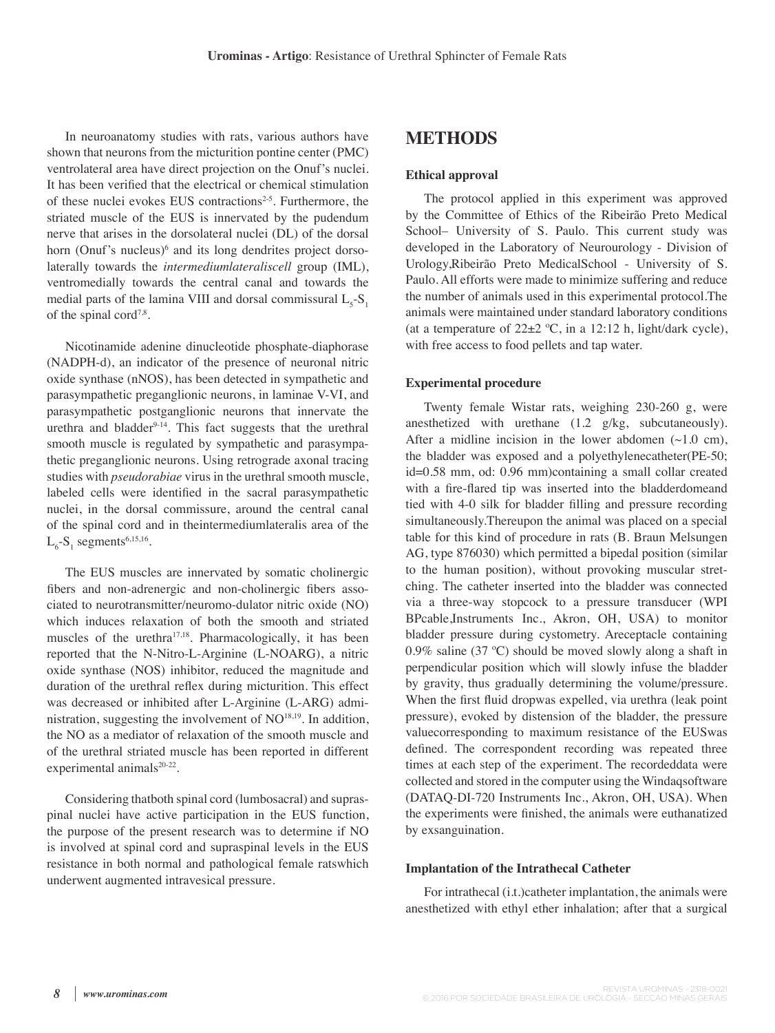In neuroanatomy studies with rats, various authors have shown that neurons from the micturition pontine center (PMC) ventrolateral area have direct projection on the Onuf's nuclei. It has been verified that the electrical or chemical stimulation of these nuclei evokes EUS contractions<sup>2-5</sup>. Furthermore, the striated muscle of the EUS is innervated by the pudendum nerve that arises in the dorsolateral nuclei (DL) of the dorsal horn (Onuf's nucleus)<sup>6</sup> and its long dendrites project dorsolaterally towards the *intermediumlateraliscell* group (IML), ventromedially towards the central canal and towards the medial parts of the lamina VIII and dorsal commissural  $L_{5}$ -S<sub>1</sub> of the spinal cord<sup>7,8</sup>.

Nicotinamide adenine dinucleotide phosphate-diaphorase (NADPH-d), an indicator of the presence of neuronal nitric oxide synthase (nNOS), has been detected in sympathetic and parasympathetic preganglionic neurons, in laminae V-VI, and parasympathetic postganglionic neurons that innervate the urethra and bladder $9-14$ . This fact suggests that the urethral smooth muscle is regulated by sympathetic and parasympathetic preganglionic neurons. Using retrograde axonal tracing studies with *pseudorabiae* virus in the urethral smooth muscle, labeled cells were identified in the sacral parasympathetic nuclei, in the dorsal commissure, around the central canal of the spinal cord and in theintermediumlateralis area of the  $L_{6}$ -S<sub>1</sub> segments<sup>6,15,16</sup>.

The EUS muscles are innervated by somatic cholinergic fibers and non-adrenergic and non-cholinergic fibers associated to neurotransmitter/neuromo-dulator nitric oxide (NO) which induces relaxation of both the smooth and striated muscles of the urethra<sup>17,18</sup>. Pharmacologically, it has been reported that the N-Nitro-L-Arginine (L-NOARG), a nitric oxide synthase (NOS) inhibitor, reduced the magnitude and duration of the urethral reflex during micturition. This effect was decreased or inhibited after L-Arginine (L-ARG) administration, suggesting the involvement of NO18,19. In addition, the NO as a mediator of relaxation of the smooth muscle and of the urethral striated muscle has been reported in different experimental animals<sup>20-22</sup>.

Considering thatboth spinal cord (lumbosacral) and supraspinal nuclei have active participation in the EUS function, the purpose of the present research was to determine if NO is involved at spinal cord and supraspinal levels in the EUS resistance in both normal and pathological female ratswhich underwent augmented intravesical pressure.

## **METHODS**

#### **Ethical approval**

The protocol applied in this experiment was approved by the Committee of Ethics of the Ribeirão Preto Medical School– University of S. Paulo. This current study was developed in the Laboratory of Neurourology - Division of Urology,Ribeirão Preto MedicalSchool - University of S. Paulo. All efforts were made to minimize suffering and reduce the number of animals used in this experimental protocol.The animals were maintained under standard laboratory conditions (at a temperature of  $22\pm2$  °C, in a 12:12 h, light/dark cycle), with free access to food pellets and tap water.

#### **Experimental procedure**

Twenty female Wistar rats, weighing 230-260 g, were anesthetized with urethane (1.2 g/kg, subcutaneously). After a midline incision in the lower abdomen  $(\sim 1.0 \text{ cm})$ , the bladder was exposed and a polyethylenecatheter(PE-50; id=0.58 mm, od: 0.96 mm)containing a small collar created with a fire-flared tip was inserted into the bladderdomeand tied with 4-0 silk for bladder filling and pressure recording simultaneously.Thereupon the animal was placed on a special table for this kind of procedure in rats (B. Braun Melsungen AG, type 876030) which permitted a bipedal position (similar to the human position), without provoking muscular stretching. The catheter inserted into the bladder was connected via a three-way stopcock to a pressure transducer (WPI BPcable,Instruments Inc., Akron, OH, USA) to monitor bladder pressure during cystometry. Areceptacle containing 0.9% saline (37 ºC) should be moved slowly along a shaft in perpendicular position which will slowly infuse the bladder by gravity, thus gradually determining the volume/pressure. When the first fluid dropwas expelled, via urethra (leak point pressure), evoked by distension of the bladder, the pressure valuecorresponding to maximum resistance of the EUSwas defined. The correspondent recording was repeated three times at each step of the experiment. The recordeddata were collected and stored in the computer using the Windaqsoftware (DATAQ-DI-720 Instruments Inc., Akron, OH, USA). When the experiments were finished, the animals were euthanatized by exsanguination.

#### **Implantation of the Intrathecal Catheter**

For intrathecal (i.t.)catheter implantation, the animals were anesthetized with ethyl ether inhalation; after that a surgical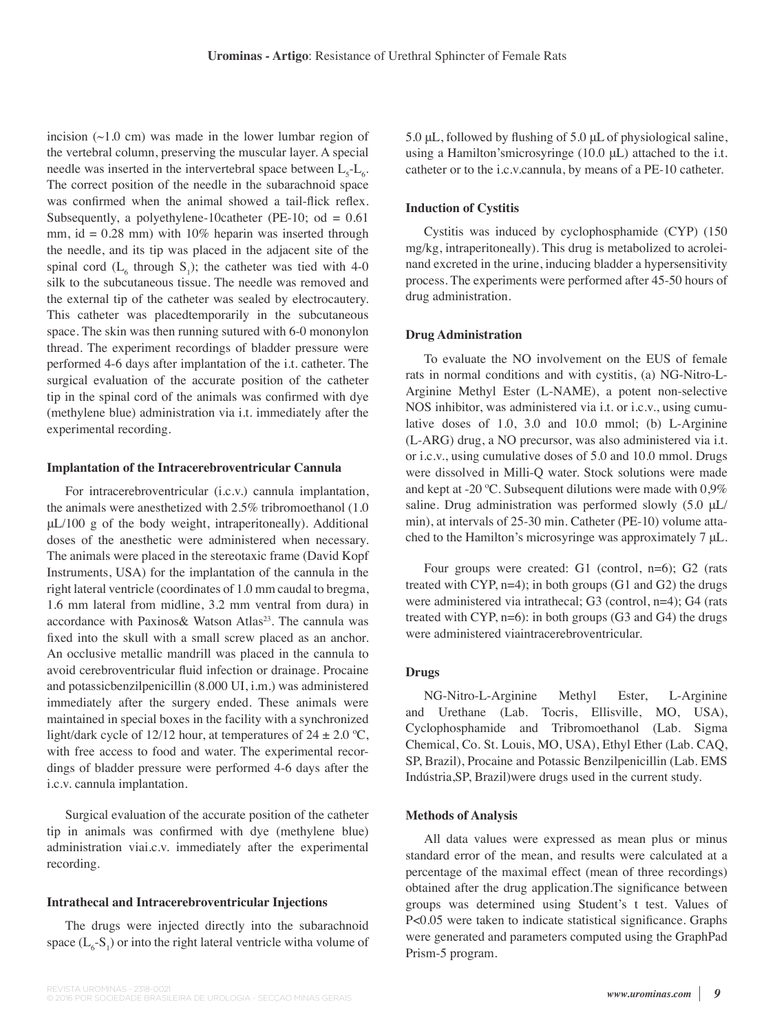incision  $(\sim 1.0 \text{ cm})$  was made in the lower lumbar region of the vertebral column, preserving the muscular layer. A special needle was inserted in the intervertebral space between  $L<sub>5</sub>-L<sub>6</sub>$ . The correct position of the needle in the subarachnoid space was confirmed when the animal showed a tail-flick reflex. Subsequently, a polyethylene-10catheter (PE-10; od =  $0.61$ ) mm, id =  $0.28$  mm) with 10% heparin was inserted through the needle, and its tip was placed in the adjacent site of the spinal cord  $(L_6$  through  $S_1$ ); the catheter was tied with 4-0 silk to the subcutaneous tissue. The needle was removed and the external tip of the catheter was sealed by electrocautery. This catheter was placedtemporarily in the subcutaneous space. The skin was then running sutured with 6-0 mononylon thread. The experiment recordings of bladder pressure were performed 4-6 days after implantation of the i.t. catheter. The surgical evaluation of the accurate position of the catheter tip in the spinal cord of the animals was confirmed with dye (methylene blue) administration via i.t. immediately after the experimental recording.

#### **Implantation of the Intracerebroventricular Cannula**

For intracerebroventricular (i.c.v.) cannula implantation, the animals were anesthetized with 2.5% tribromoethanol (1.0 μL/100 g of the body weight, intraperitoneally). Additional doses of the anesthetic were administered when necessary. The animals were placed in the stereotaxic frame (David Kopf Instruments, USA) for the implantation of the cannula in the right lateral ventricle (coordinates of 1.0 mm caudal to bregma, 1.6 mm lateral from midline, 3.2 mm ventral from dura) in accordance with Paxinos & Watson Atlas<sup>23</sup>. The cannula was fixed into the skull with a small screw placed as an anchor. An occlusive metallic mandrill was placed in the cannula to avoid cerebroventricular fluid infection or drainage. Procaine and potassicbenzilpenicillin (8.000 UI, i.m.) was administered immediately after the surgery ended. These animals were maintained in special boxes in the facility with a synchronized light/dark cycle of 12/12 hour, at temperatures of  $24 \pm 2.0$  °C, with free access to food and water. The experimental recordings of bladder pressure were performed 4-6 days after the i.c.v. cannula implantation.

Surgical evaluation of the accurate position of the catheter tip in animals was confirmed with dye (methylene blue) administration viai.c.v. immediately after the experimental recording.

#### **Intrathecal and Intracerebroventricular Injections**

The drugs were injected directly into the subarachnoid space  $(L_6 - S_1)$  or into the right lateral ventricle witha volume of  $5.0 \mu L$ , followed by flushing of  $5.0 \mu L$  of physiological saline, using a Hamilton'smicrosyringe (10.0 μL) attached to the i.t. catheter or to the i.c.v.cannula, by means of a PE-10 catheter.

#### **Induction of Cystitis**

Cystitis was induced by cyclophosphamide (CYP) (150 mg/kg, intraperitoneally). This drug is metabolized to acroleinand excreted in the urine, inducing bladder a hypersensitivity process. The experiments were performed after 45-50 hours of drug administration.

#### **Drug Administration**

To evaluate the NO involvement on the EUS of female rats in normal conditions and with cystitis, (a) NG-Nitro-L-Arginine Methyl Ester (L-NAME), a potent non-selective NOS inhibitor, was administered via i.t. or i.c.v., using cumulative doses of 1.0, 3.0 and 10.0 mmol; (b) L-Arginine (L-ARG) drug, a NO precursor, was also administered via i.t. or i.c.v., using cumulative doses of 5.0 and 10.0 mmol. Drugs were dissolved in Milli-Q water. Stock solutions were made and kept at -20 ºC. Subsequent dilutions were made with 0,9% saline. Drug administration was performed slowly (5.0 μL/ min), at intervals of 25-30 min. Catheter (PE-10) volume attached to the Hamilton's microsyringe was approximately 7 μL.

Four groups were created: G1 (control, n=6); G2 (rats treated with CYP,  $n=4$ ); in both groups (G1 and G2) the drugs were administered via intrathecal; G3 (control, n=4); G4 (rats treated with CYP,  $n=6$ : in both groups (G3 and G4) the drugs were administered viaintracerebroventricular.

#### **Drugs**

NG-Nitro-L-Arginine Methyl Ester, L-Arginine and Urethane (Lab. Tocris, Ellisville, MO, USA), Cyclophosphamide and Tribromoethanol (Lab. Sigma Chemical, Co. St. Louis, MO, USA), Ethyl Ether (Lab. CAQ, SP, Brazil), Procaine and Potassic Benzilpenicillin (Lab. EMS Indústria,SP, Brazil)were drugs used in the current study.

#### **Methods of Analysis**

All data values were expressed as mean plus or minus standard error of the mean, and results were calculated at a percentage of the maximal effect (mean of three recordings) obtained after the drug application. The significance between groups was determined using Student's t test. Values of P<0.05 were taken to indicate statistical significance. Graphs were generated and parameters computed using the GraphPad Prism-5 program.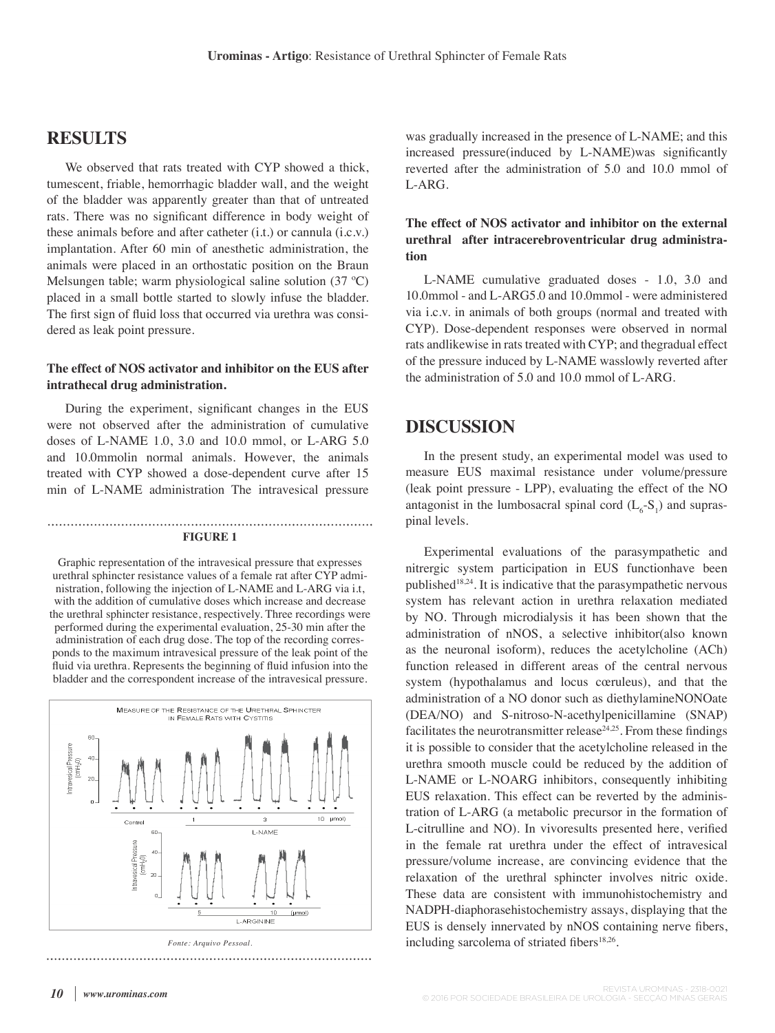## **RESULTS**

We observed that rats treated with CYP showed a thick, tumescent, friable, hemorrhagic bladder wall, and the weight of the bladder was apparently greater than that of untreated rats. There was no significant difference in body weight of these animals before and after catheter (i.t.) or cannula (i.c.v.) implantation. After 60 min of anesthetic administration, the animals were placed in an orthostatic position on the Braun Melsungen table; warm physiological saline solution (37 ºC) placed in a small bottle started to slowly infuse the bladder. The first sign of fluid loss that occurred via urethra was considered as leak point pressure.

#### **The effect of NOS activator and inhibitor on the EUS after intrathecal drug administration.**

During the experiment, significant changes in the EUS were not observed after the administration of cumulative doses of L-NAME 1.0, 3.0 and 10.0 mmol, or L-ARG 5.0 and 10.0mmolin normal animals. However, the animals treated with CYP showed a dose-dependent curve after 15 min of L-NAME administration The intravesical pressure

#### **FIgURE 1**

Graphic representation of the intravesical pressure that expresses urethral sphincter resistance values of a female rat after CYP administration, following the injection of L-NAME and L-ARG via i.t, with the addition of cumulative doses which increase and decrease the urethral sphincter resistance, respectively. Three recordings were performed during the experimental evaluation, 25-30 min after the administration of each drug dose. The top of the recording corresponds to the maximum intravesical pressure of the leak point of the fluid via urethra. Represents the beginning of fluid infusion into the bladder and the correspondent increase of the intravesical pressure.



*Fonte: Arquivo Pessoal.* 

was gradually increased in the presence of L-NAME; and this increased pressure(induced by L-NAME)was significantly reverted after the administration of 5.0 and 10.0 mmol of L-ARG.

#### **The effect of NOS activator and inhibitor on the external urethral after intracerebroventricular drug administration**

L-NAME cumulative graduated doses - 1.0, 3.0 and 10.0mmol - and L-ARG5.0 and 10.0mmol - were administered via i.c.v. in animals of both groups (normal and treated with CYP). Dose-dependent responses were observed in normal rats andlikewise in rats treated with CYP; and thegradual effect of the pressure induced by L-NAME wasslowly reverted after the administration of 5.0 and 10.0 mmol of L-ARG.

### **DISCUSSION**

In the present study, an experimental model was used to measure EUS maximal resistance under volume/pressure (leak point pressure - LPP), evaluating the effect of the NO antagonist in the lumbosacral spinal cord  $(L_6 - S_1)$  and supraspinal levels.

Experimental evaluations of the parasympathetic and nitrergic system participation in EUS functionhave been published18,24. It is indicative that the parasympathetic nervous system has relevant action in urethra relaxation mediated by NO. Through microdialysis it has been shown that the administration of nNOS, a selective inhibitor(also known as the neuronal isoform), reduces the acetylcholine (ACh) function released in different areas of the central nervous system (hypothalamus and locus cœruleus), and that the administration of a NO donor such as diethylamineNONOate (DEA/NO) and S-nitroso-N-acethylpenicillamine (SNAP) facilitates the neurotransmitter release<sup>24,25</sup>. From these findings it is possible to consider that the acetylcholine released in the urethra smooth muscle could be reduced by the addition of L-NAME or L-NOARG inhibitors, consequently inhibiting EUS relaxation. This effect can be reverted by the administration of L-ARG (a metabolic precursor in the formation of L-citrulline and NO). In vivoresults presented here, verified in the female rat urethra under the effect of intravesical pressure/volume increase, are convincing evidence that the relaxation of the urethral sphincter involves nitric oxide. These data are consistent with immunohistochemistry and NADPH-diaphorasehistochemistry assays, displaying that the EUS is densely innervated by nNOS containing nerve fibers, including sarcolema of striated fibers<sup>18,26</sup>.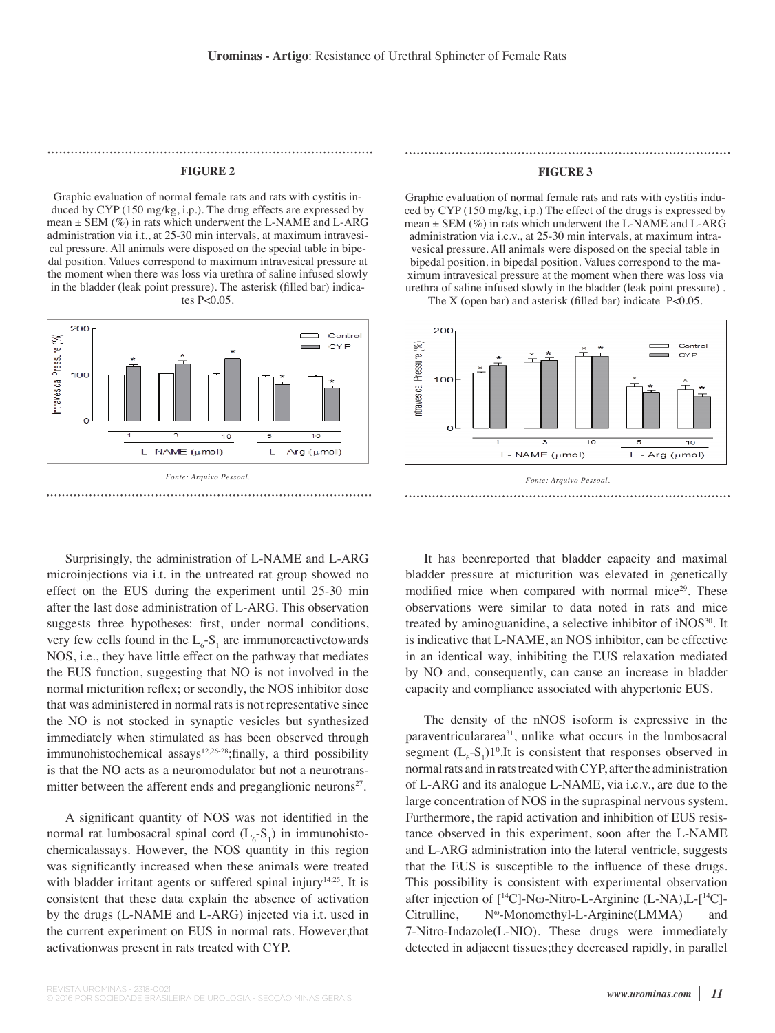#### **FIgURE 2**

Graphic evaluation of normal female rats and rats with cystitis induced by CYP (150 mg/kg, i.p.). The drug effects are expressed by mean  $\pm$  SEM (%) in rats which underwent the L-NAME and L-ARG administration via i.t., at 25-30 min intervals, at maximum intravesical pressure. All animals were disposed on the special table in bipedal position. Values correspond to maximum intravesical pressure at the moment when there was loss via urethra of saline infused slowly in the bladder (leak point pressure). The asterisk (filled bar) indicates P<0.05.



Surprisingly, the administration of L-NAME and L-ARG microinjections via i.t. in the untreated rat group showed no effect on the EUS during the experiment until 25-30 min after the last dose administration of L-ARG. This observation suggests three hypotheses: first, under normal conditions, very few cells found in the  $L_6$ -S<sub>1</sub> are immunoreactivetowards NOS, i.e., they have little effect on the pathway that mediates the EUS function, suggesting that NO is not involved in the normal micturition reflex; or secondly, the NOS inhibitor dose that was administered in normal rats is not representative since the NO is not stocked in synaptic vesicles but synthesized immediately when stimulated as has been observed through immunohistochemical assays<sup>12,26-28</sup>;finally, a third possibility is that the NO acts as a neuromodulator but not a neurotransmitter between the afferent ends and preganglionic neurons<sup>27</sup>.

A significant quantity of NOS was not identified in the normal rat lumbosacral spinal cord  $(L_6$ -S<sub>1</sub>) in immunohistochemicalassays. However, the NOS quantity in this region was significantly increased when these animals were treated with bladder irritant agents or suffered spinal injury $14,25$ . It is consistent that these data explain the absence of activation by the drugs (L-NAME and L-ARG) injected via i.t. used in the current experiment on EUS in normal rats. However,that activationwas present in rats treated with CYP.

#### **FIgURE 3**

Graphic evaluation of normal female rats and rats with cystitis induced by CYP (150 mg/kg, i.p.) The effect of the drugs is expressed by mean  $\pm$  SEM (%) in rats which underwent the L-NAME and L-ARG administration via i.c.v., at 25-30 min intervals, at maximum intravesical pressure. All animals were disposed on the special table in bipedal position. in bipedal position. Values correspond to the maximum intravesical pressure at the moment when there was loss via urethra of saline infused slowly in the bladder (leak point pressure) .

The X (open bar) and asterisk (filled bar) indicate  $P<0.05$ .





It has beenreported that bladder capacity and maximal bladder pressure at micturition was elevated in genetically modified mice when compared with normal mice<sup>29</sup>. These observations were similar to data noted in rats and mice treated by aminoguanidine, a selective inhibitor of iNOS<sup>30</sup>. It is indicative that L-NAME, an NOS inhibitor, can be effective in an identical way, inhibiting the EUS relaxation mediated by NO and, consequently, can cause an increase in bladder capacity and compliance associated with ahypertonic EUS.

The density of the nNOS isoform is expressive in the paraventriculararea<sup>31</sup>, unlike what occurs in the lumbosacral segment  $(L_6 - S_1)1^0$ .It is consistent that responses observed in normal rats and in rats treated with CYP, after the administration of L-ARG and its analogue L-NAME, via i.c.v., are due to the large concentration of NOS in the supraspinal nervous system. Furthermore, the rapid activation and inhibition of EUS resistance observed in this experiment, soon after the L-NAME and L-ARG administration into the lateral ventricle, suggests that the EUS is susceptible to the influence of these drugs. This possibility is consistent with experimental observation after injection of  $[^{14}C]$ -Nω-Nitro-L-Arginine (L-NA),L- $[^{14}C]$ -Citrulline,  $N^{\omega}$ -Monomethyl-L-Arginine(LMMA) and 7-Nitro-Indazole(L-NIO). These drugs were immediately detected in adjacent tissues;they decreased rapidly, in parallel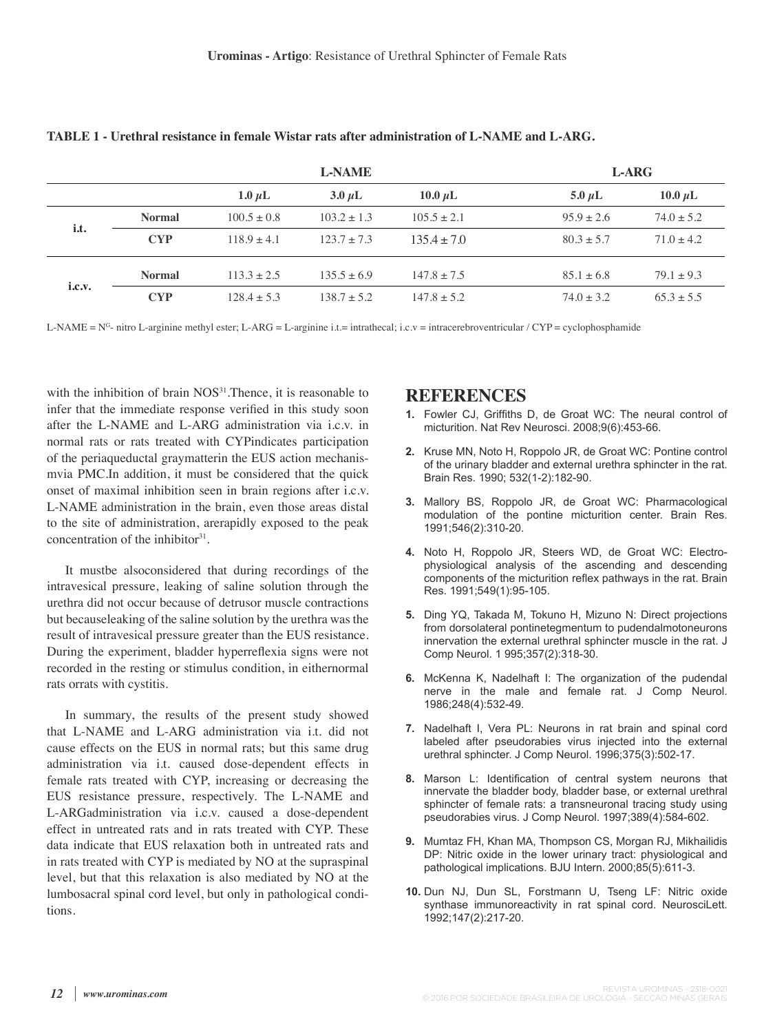|        |               | <b>L-NAME</b>   |                 |                 | <b>L-ARG</b>   |                |
|--------|---------------|-----------------|-----------------|-----------------|----------------|----------------|
|        |               | $1.0 \mu L$     | $3.0 \mu L$     | 10.0 $\mu$ L    | 5.0 $\mu$ L    | 10.0 $\mu$ L   |
| i.t.   | <b>Normal</b> | $100.5 \pm 0.8$ | $103.2 \pm 1.3$ | $105.5 \pm 2.1$ | $95.9 \pm 2.6$ | $74.0 \pm 5.2$ |
|        | <b>CYP</b>    | $118.9 \pm 4.1$ | $123.7 \pm 7.3$ | $135.4 \pm 7.0$ | $80.3 \pm 5.7$ | $71.0 \pm 4.2$ |
| i.c.v. | <b>Normal</b> | $113.3 \pm 2.5$ | $135.5 \pm 6.9$ | $147.8 \pm 7.5$ | $85.1 \pm 6.8$ | $79.1 \pm 9.3$ |
|        | <b>CYP</b>    | $128.4 \pm 5.3$ | $138.7 \pm 5.2$ | $147.8 \pm 5.2$ | $74.0 \pm 3.2$ | $65.3 + 5.5$   |

#### **TABLE 1 - Urethral resistance in female Wistar rats after administration of L-NAME and L-ARg.**

L-NAME =  $N^G$ - nitro L-arginine methyl ester; L-ARG = L-arginine i.t.= intrathecal; i.c.v = intracerebroventricular / CYP = cyclophosphamide

with the inhibition of brain  $NOS<sup>31</sup>$ . Thence, it is reasonable to infer that the immediate response verified in this study soon after the L-NAME and L-ARG administration via i.c.v. in normal rats or rats treated with CYPindicates participation of the periaqueductal graymatterin the EUS action mechanismvia PMC.In addition, it must be considered that the quick onset of maximal inhibition seen in brain regions after i.c.v. L-NAME administration in the brain, even those areas distal to the site of administration, arerapidly exposed to the peak concentration of the inhibitor $31$ .

It mustbe alsoconsidered that during recordings of the intravesical pressure, leaking of saline solution through the urethra did not occur because of detrusor muscle contractions but becauseleaking of the saline solution by the urethra was the result of intravesical pressure greater than the EUS resistance. During the experiment, bladder hyperreflexia signs were not recorded in the resting or stimulus condition, in eithernormal rats orrats with cystitis.

In summary, the results of the present study showed that L-NAME and L-ARG administration via i.t. did not cause effects on the EUS in normal rats; but this same drug administration via i.t. caused dose-dependent effects in female rats treated with CYP, increasing or decreasing the EUS resistance pressure, respectively. The L-NAME and L-ARGadministration via i.c.v. caused a dose-dependent effect in untreated rats and in rats treated with CYP. These data indicate that EUS relaxation both in untreated rats and in rats treated with CYP is mediated by NO at the supraspinal level, but that this relaxation is also mediated by NO at the lumbosacral spinal cord level, but only in pathological conditions.

# **REFERENCES**

- 1. Fowler CJ, Griffiths D, de Groat WC: The neural control of micturition. Nat Rev Neurosci. 2008;9(6):453-66.
- **2.** Kruse MN, Noto H, Roppolo JR, de Groat WC: Pontine control of the urinary bladder and external urethra sphincter in the rat. Brain Res. 1990; 532(1-2):182-90.
- **3.** Mallory BS, Roppolo JR, de Groat WC: Pharmacological modulation of the pontine micturition center. Brain Res. 1991;546(2):310-20.
- **4.** Noto H, Roppolo JR, Steers WD, de Groat WC: Electrophysiological analysis of the ascending and descending components of the micturition reflex pathways in the rat. Brain Res. 1991;549(1):95-105.
- **5.** Ding YQ, Takada M, Tokuno H, Mizuno N: Direct projections from dorsolateral pontinetegmentum to pudendalmotoneurons innervation the external urethral sphincter muscle in the rat. J Comp Neurol. 1 995;357(2):318-30.
- **6.** McKenna K, Nadelhaft I: The organization of the pudendal nerve in the male and female rat. J Comp Neurol. 1986;248(4):532-49.
- **7.** Nadelhaft I, Vera PL: Neurons in rat brain and spinal cord labeled after pseudorabies virus injected into the external urethral sphincter. J Comp Neurol. 1996;375(3):502-17.
- 8. Marson L: Identification of central system neurons that innervate the bladder body, bladder base, or external urethral sphincter of female rats: a transneuronal tracing study using pseudorabies virus. J Comp Neurol. 1997;389(4):584-602.
- **9.** Mumtaz FH, Khan MA, Thompson CS, Morgan RJ, Mikhailidis DP: Nitric oxide in the lower urinary tract: physiological and pathological implications. BJU Intern. 2000;85(5):611-3.
- **10.** Dun NJ, Dun SL, Forstmann U, Tseng LF: Nitric oxide synthase immunoreactivity in rat spinal cord. NeurosciLett. 1992;147(2):217-20.